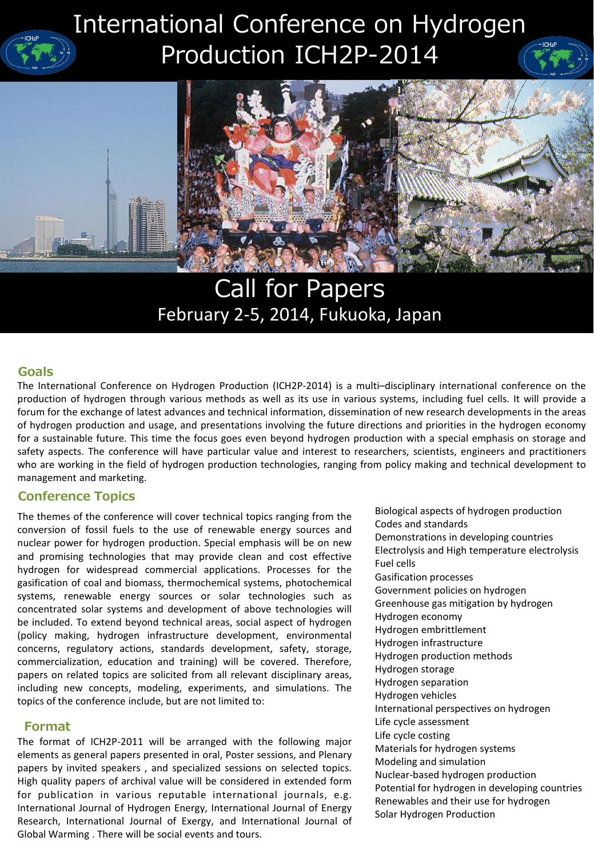# International Conference on Hydrogen Production ICH2P-2014



# Call for Papers February 2-5, 2014, Fukuoka, Japan

#### **Goals**

goes even beyond hydrogen pr<br>rticular value and interest to re<br>oduction technologies, ranging f The International Conference on Hydrogen Production (ICH2P-2014) is a multi–disciplinary international conference on the production of hydrogen through various methods as well as its use in various systems, including fuel cells. It will provide a forum for the exchange of latest advances and technical information, dissemination of new research developments in the areas of hydrogen production and usage, and presentations involving the future directions and priorities in the hydrogen economy for a sustainable future. This time the focus goes even beyond hydrogen production with a special emphasis on storage and safety aspects. The conference will have particular value and interest to researchers, scientists, engineers and practitioners who are working in the field of hydrogen production technologies, ranging from policy making and technical development to management and marketing.

#### **Conference Topics**

The themes of the conference will cover technical topics ranging from the conversion of fossil fuels to the use of renewable energy sources and nuclear power for hydrogen production. Special emphasis will be on new and promising technologies that may provide clean and cost effective hydrogen for widespread commercial applications. Processes for the gasification of coal and biomass, thermochemical systems, photochemical systems, renewable energy sources or solar technologies such as concentrated solar systems and development of above technologies will be included. To extend beyond technical areas, social aspect of hydrogen (policy making, hydrogen infrastructure development, environmental concerns, regulatory actions, standards development, safety, storage, commercialization, education and training) will be covered. Therefore, papers on related topics are solicited from all relevant disciplinary areas, including new concepts, modeling, experiments, and simulations. The topics of the conference include, but are not limited to:

#### **Format**

The format of ICH2P-2011 will be arranged with the following major elements as general papers presented in oral, Poster sessions, and Plenary papers by invited speakers , and specialized sessions on selected topics. High quality papers of archival value will be considered in extended form for publication in various reputable international journals, e.g. International Journal of Hydrogen Energy, International Journal of Energy Research, International Journal of Exergy, and International Journal of Global Warming . There will be social events and tours.

Biological aspects of hydrogen production Codes and standards Demonstrations in developing countries Electrolysis and High temperature electrolysis Fuel cells Gasification processes Government policies on hydrogen Greenhouse gas mitigation by hydrogen Hydrogen economy Hydrogen embrittlement Hydrogen infrastructure Hydrogen production methods Hydrogen storage Hydrogen separation Hydrogen vehicles International perspectives on hydrogen Life cycle assessment Life cycle costing Materials for hydrogen systems Modeling and simulation Nuclear-based hydrogen production Potential for hydrogen in developing countries Renewables and their use for hydrogen Solar Hydrogen Production